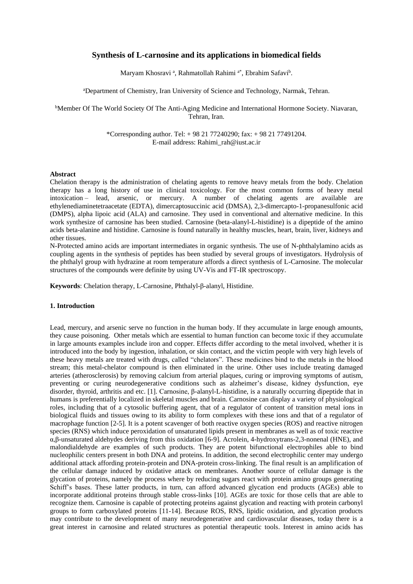# **Synthesis of L-carnosine and its applications in biomedical fields**

Maryam Khosravi<sup>a</sup>, Rahmatollah Rahimi<sup>a\*</sup>, Ebrahim Safavi<sup>b</sup>.

<sup>a</sup>Department of Chemistry, Iran University of Science and Technology, Narmak, Tehran.

<sup>b</sup>Member Of The World Society Of The Anti-Aging Medicine and International Hormone Society. Niavaran, Tehran, Iran.

> \*Corresponding author. Tel: + 98 21 77240290; fax: + 98 21 77491204. E-mail address[:](mailto:Rahimi_rah@iust.ac.ir) [Rahimi\\_rah@iust.ac.ir](mailto:Rahimi_rah@iust.ac.ir)

#### **Abstract**

Chelation therapy is the administration of [chelating agents](http://en.wikipedia.org/wiki/Chelation) to remove [heavy metals](http://en.wikipedia.org/wiki/Heavy_metals) from the body. Chelation therapy has a long history of use in clinical toxicology. For the most common forms of heavy metal intoxication – [lead,](http://en.wikipedia.org/wiki/Lead) [arsenic,](http://en.wikipedia.org/wiki/Arsenic) or [mercury.](http://en.wikipedia.org/wiki/Mercury_%28element%29) A number of chelating agents are available are ethylenediaminetetraacetate (EDTA), [dimercaptosuccinic acid](http://en.wikipedia.org/wiki/Dimercaptosuccinic_acid) (DMSA), [2,3-dimercapto-1-propanesulfonic acid](http://en.wikipedia.org/wiki/2,3-dimercapto-1-propanesulfonic_acid) (DMPS), [alpha lipoic acid](http://en.wikipedia.org/wiki/Lipoic_acid) (ALA) and carnosine. They used in [conventional](http://en.wikipedia.org/wiki/Medicine) and [alternative medicine.](http://en.wikipedia.org/wiki/Alternative_medicine) In this work synthesize of carnosine has been studied. Carnosine (beta-alanyl-L-histidine) is a [dipeptide](http://en.wikipedia.org/wiki/Dipeptide) of the [amino](http://en.wikipedia.org/wiki/Amino_acids)  [acids](http://en.wikipedia.org/wiki/Amino_acids) [beta-alanine](http://en.wikipedia.org/wiki/Beta-alanine) and [histidine.](http://en.wikipedia.org/wiki/Histidine) Carnosine is found naturally in healthy muscles, heart, brain, liver, kidneys and other tissues.

N-Protected amino acids are important intermediates in organic synthesis. The use of N-phthalylamino acids as coupling agents in the synthesis of peptides has been studied by several groups of investigators. Hydrolysis of the phthalyl group with hydrazine at room temperature affords a direct synthesis of L-Carnosine. The molecular structures of the compounds were definite by using UV-Vis and FT-IR spectroscopy.

**Keywords**: Chelation therapy, L-Carnosine, Phthalyl-β-alanyl, Histidine.

## **1. Introduction**

Lead, mercury, and arsenic serve no function in the human body. If they accumulate in large enough amounts, they cause poisoning. Other metals which are essential to human function can become toxic if they accumulate in large amounts examples include iron and copper. Effects differ according to the metal involved, whether it is introduced into the body by ingestion, inhalation, or skin contact, and the victim people with very high levels of these heavy metals are treated with drugs, called "chelators". These medicines bind to the metals in the blood stream; this metal-chelator compound is then eliminated in the urine. Other uses include treating damaged arteries (atherosclerosis) by removing calcium from arterial plaques, curing or improving symptoms of autism, preventing or curing neurodegenerative conditions such as alzheimer's disease, kidney dysfunction, eye disorder, thyroid, arthritis and etc. [1]. Carnosine, β-alanyl-L-histidine, is a naturally occurring dipeptide that in humans is preferentially localized in skeletal muscles and brain. Carnosine can display a variety of physiological roles, including that of a cytosolic buffering agent, that of a regulator of content of transition metal ions in biological fluids and tissues owing to its ability to form complexes with these ions and that of a regulator of macrophage function [2-5]. It is a potent scavenger of both reactive oxygen species (ROS) and reactive nitrogen species (RNS) which induce peroxidation of unsaturated lipids present in membranes as well as of toxic reactive α,β-unsaturated aldehydes deriving from this oxidation [6-9]. Acrolein, 4-hydroxytrans-2,3-nonenal (HNE), and malondialdehyde are examples of such products. They are potent bifunctional electrophiles able to bind nucleophilic centers present in both DNA and proteins. In addition, the second electrophilic center may undergo additional attack affording protein-protein and DNA-protein cross-linking. The final result is an amplification of the cellular damage induced by oxidative attack on membranes. Another source of cellular damage is the glycation of proteins, namely the process where by reducing sugars react with protein amino groups generating Schiff's bases. These latter products, in turn, can afford advanced glycation end products (AGEs) able to incorporate additional proteins through stable cross-links [10]. AGEs are toxic for those cells that are able to recognize them. Carnosine is capable of protecting proteins against glycation and reacting with protein carbonyl groups to form carboxylated proteins [11-14]. Because ROS, RNS, lipidic oxidation, and glycation products may contribute to the development of many neurodegenerative and cardiovascular diseases, today there is a great interest in carnosine and related structures as potential therapeutic tools. Interest in amino acids has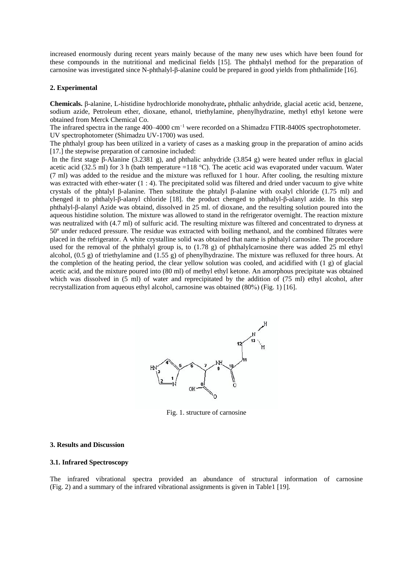increased enormously during recent years mainly because of the many new uses which have been found for these compounds in the nutritional and medicinal fields [15]. The phthalyl method for the preparation of carnosine was investigated since N-phthalyl-β-alanine could be prepared in good yields from phthalimide [16].

## **2. Experimental**

**Chemicals.** β-alanine, L-histidine hydrochloride monohydrate**,** phthalic anhydride, glacial acetic acid, benzene, sodium azide, Petroleum ether, dioxane, ethanol, triethylamine, phenylhydrazine, methyl ethyl ketone were obtained from Merck Chemical Co.

The infrared spectra in the range 400–4000 cm<sup>-1</sup> were recorded on a Shimadzu FTIR-8400S spectrophotometer. UV spectrophotometer (Shimadzu UV-1700) was used.

The phthalyl group has been utilized in a variety of cases as a masking group in the preparation of amino acids [17.] the stepwise preparation of carnosine included:

In the first stage β-Alanine (3.2381 g), and phthalic anhydride (3.854 g) were heated under reflux in glacial acetic acid (32.5 ml) for 3 h (bath temperature =118 °C). The acetic acid was evaporated under vacuum. Water (7 ml) was added to the residue and the mixture was refluxed for 1 hour. After cooling, the resulting mixture was extracted with ether-water (1 : 4). The precipitated solid was filtered and dried under vacuum to give white crystals of the phtalyl β-alanine. Then [substitute](javascript:void(0)) the phtalyl β-alanine with oxalyl chloride (1.75 ml) and chenged it to phthalyl-β-alanyl chloride [18]. the product chenged to phthalyl-β-alanyl azide. In this step phthalyl-β-alanyl Azide was obtaind, dissolved in 25 ml. of dioxane, and the resulting solution poured into the aqueous histidine solution. The mixture was allowed to stand in the refrigerator overnight. The reaction mixture was neutralized with (4.7 ml) of sulfuric acid. The resulting mixture was filtered and concentrated to dryness at 50º under reduced pressure. The residue was extracted with boiling methanol, and the combined filtrates were placed in the refrigerator. A white crystalline solid was obtained that name is phthalyl carnosine. The procedure used for the removal of the phthalyl group is, to (1.78 g) of phthalylcarnosine there was added 25 ml ethyl alcohol, (0.5 g) of triethylamine and (1.55 g) of phenylhydrazine. The mixture was refluxed for three hours. At the completion of the heating period, the clear yellow solution was cooled, and acidified with (1 g) of glacial acetic acid, and the mixture poured into (80 ml) of methyl ethyl ketone. An amorphous precipitate was obtained which was dissolved in (5 ml) of water and reprecipitated by the addition of (75 ml) ethyl alcohol, after recrystallization from aqueous ethyl alcohol, carnosine was obtained  $(80\%)$  (Fig. 1) [16].



Fig. 1. structure of carnosine

#### **3. Results and Discussion**

## **3.1. Infrared Spectroscopy**

The infrared vibrational spectra provided an abundance of structural information of carnosine (Fig. 2) and a summary of the infrared vibrational assignments is given in Table1 [19].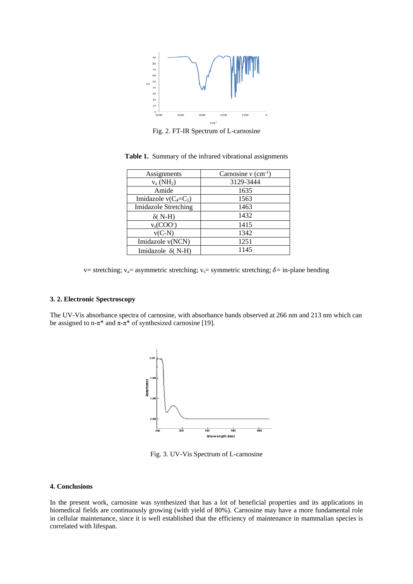

Fig. 2. FT-IR Spectrum of L-carnosine

| Assignments                 | Carnosine $v$ (cm <sup>-1</sup> ) |
|-----------------------------|-----------------------------------|
| $v_a(NH_2)$                 | 3129-3444                         |
| Amide                       | 1635                              |
| Imidazole $v(C_4=C_5)$      | 1563                              |
| <b>Imidazole Stretching</b> | 1463                              |
| $\delta$ ( N-H)             | 1432                              |
| $v_s(COO^-)$                | 1415                              |
| $v(C-N)$                    | 1342                              |
| Imidazole v(NCN)            | 1251                              |
| Imidazole $\delta$ (N-H)    | 1145                              |

**Table 1.** Summary of the infrared vibrational assignments

v= stretching; v<sub>a</sub>= asymmetric stretching; v<sub>s</sub>= symmetric stretching;  $\delta$ = in-plane bending

## **3. 2. Electronic Spectroscopy**

The UV-Vis absorbance spectra of carnosine, with absorbance bands observed at 266 nm and 213 nm which can be assigned to n- $\pi^*$  and  $\pi$ - $\pi^*$  of synthesized carnosine [19].



Fig. 3. UV-Vis Spectrum of L-carnosine

## **4. Conclusions**

In the present work, carnosine was synthesized that has a lot of beneficial properties and its applications in biomedical fields are continuously growing (with yield of 80%). Carnosine may have a more fundamental role in cellular maintenance, since it is well established that the efficiency of maintenance in mammalian species is correlated with lifespan.